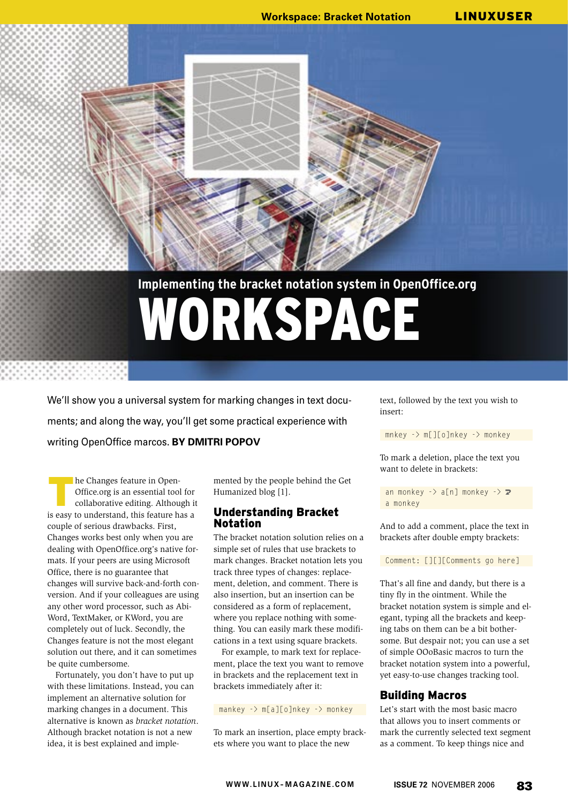# **Implementing the bracket notation system in OpenOffice.org** WORKSPACE

We'll show you a universal system for marking changes in text documents; and along the way, you'll get some practical experience with writing OpenOffice marcos. **BY DMITRI POPOV**

he Changes feature in Open-Office.org is an essential tool for collaborative editing. Although it is easy to understand, this feature has a couple of serious drawbacks. First, Changes works best only when you are dealing with OpenOffice.org's native formats. If your peers are using Microsoft Office, there is no guarantee that changes will survive back-and-forth conversion. And if your colleagues are using any other word processor, such as Abi-Word, TextMaker, or KWord, you are completely out of luck. Secondly, the Changes feature is not the most elegant solution out there, and it can sometimes be quite cumbersome.

Fortunately, you don't have to put up with these limitations. Instead, you can implement an alternative solution for marking changes in a document. This alternative is known as *bracket notation*. Although bracket notation is not a new idea, it is best explained and imple-

mented by the people behind the Get Humanized blog [1].

# Understanding Bracket Notation

The bracket notation solution relies on a simple set of rules that use brackets to mark changes. Bracket notation lets you track three types of changes: replacement, deletion, and comment. There is also insertion, but an insertion can be considered as a form of replacement, where you replace nothing with something. You can easily mark these modifications in a text using square brackets.

For example, to mark text for replacement, place the text you want to remove in brackets and the replacement text in brackets immediately after it:

mankey -> m[a][o]nkey -> monkey

To mark an insertion, place empty brackets where you want to place the new

text, followed by the text you wish to insert:

mnkey -> m[][o]nkey -> monkey

To mark a deletion, place the text you want to delete in brackets:

an monkey  $\rightarrow$  a[n] monkey  $\rightarrow$  2 a monkey

And to add a comment, place the text in brackets after double empty brackets:

Comment: [][][Comments go here]

That's all fine and dandy, but there is a tiny fly in the ointment. While the bracket notation system is simple and elegant, typing all the brackets and keeping tabs on them can be a bit bothersome. But despair not; you can use a set of simple OOoBasic macros to turn the bracket notation system into a powerful, yet easy-to-use changes tracking tool.

# Building Macros

Let's start with the most basic macro that allows you to insert comments or mark the currently selected text segment as a comment. To keep things nice and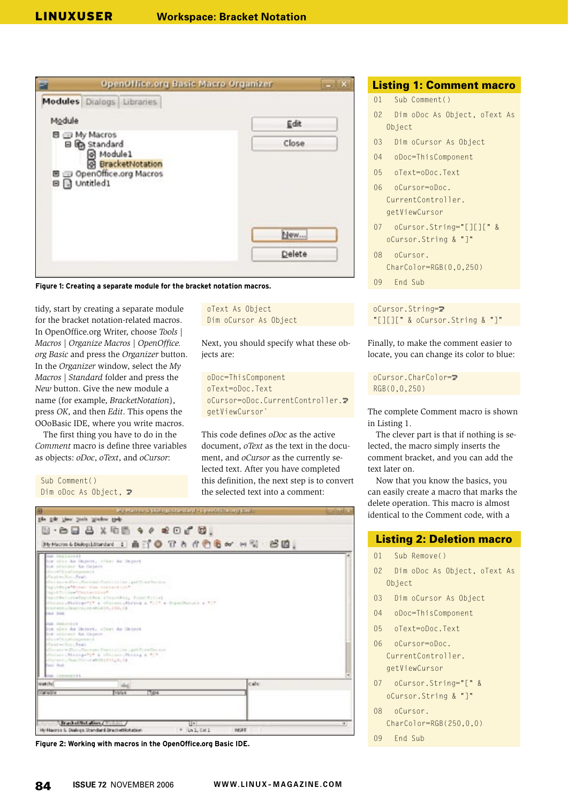

**Figure 1: Creating a separate module for the bracket notation macros.**

tidy, start by creating a separate module for the bracket notation-related macros. In OpenOffice.org Writer, choose *Tools | Macros | Organize Macros | OpenOffice. org Basic* and press the *Organizer* button. In the *Organizer* window, select the *My Macros | Standard* folder and press the *New* button. Give the new module a name (for example, *BracketNotation*), press *OK*, and then *Edit*. This opens the OOoBasic IDE, where you write macros.

The first thing you have to do in the *Comment* macro is define three variables as objects: *oDoc*, *oText*, and *oCursor*:

Sub Comment()

Dim oDoc As Object,  $\triangleright$ 

```
oText As Object
Dim oCursor As Object
```
Next, you should specify what these objects are:

```
oDoc=ThisComponent
oText=oDoc.Text
oCursor=oDoc.CurrentController.U
getViewCursor`
```
This code defines *oDoc* as the active document, *oText* as the text in the document, and *oCursor* as the currently selected text. After you have completed this definition, the next step is to convert the selected text into a comment:

| Ε<br>Ny Mangara tanàna manandritry ny kaodim-paositra 6143 |                                                                                                                         |                                                 |              |   |  |
|------------------------------------------------------------|-------------------------------------------------------------------------------------------------------------------------|-------------------------------------------------|--------------|---|--|
| the tile time tools trades task-                           |                                                                                                                         |                                                 |              |   |  |
|                                                            | $\boxdot$ - $\ominus$ $\Box$ $\ominus$ x $\oplus$ $\boxdot$ 4 $\circ$ $\bullet$ $\ominus$ $\Box$ $\circ$ $\odot$ $\Box$ |                                                 |              |   |  |
|                                                            |                                                                                                                         | Persona Dishyddiardant 工曲行业 T & 作业名叫 H W · 20回。 |              |   |  |
|                                                            |                                                                                                                         |                                                 |              |   |  |
| 268 PERLATA EX                                             | lem'sfore An Ongood, "close An Depost                                                                                   |                                                 |              |   |  |
| him editorates Am Gallerin<br>directly indicates and a     |                                                                                                                         |                                                 |              |   |  |
| PasterSun, feet.                                           |                                                                                                                         |                                                 |              |   |  |
|                                                            | (Our instruction), Danmark Reprint (11 air, god 7), and houses<br>light@spaffices the presential?                       |                                                 |              |   |  |
| That LET's Line *Charles (Line*                            |                                                                                                                         |                                                 |              |   |  |
|                                                            | handbataroadaputhoa (Temetha), huncer(tia) .<br>changed Hattage "1" a channot Hattag a "11" a figuritation a "1"        |                                                 |              |   |  |
|                                                            | constants pillear University (4, 234, 13                                                                                |                                                 |              |   |  |
| Died. Rock.                                                |                                                                                                                         |                                                 |              |   |  |
| THE FREEFIELD                                              |                                                                                                                         |                                                 |              |   |  |
| his educated An Impect                                     | lim plan da Univer, vivat da Ghinet                                                                                     |                                                 |              |   |  |
| discontra Latinagement &                                   |                                                                                                                         |                                                 |              |   |  |
| (Toutschild); Teat.                                        | Contrettat Renaux Territorium (pri Tian Territorium                                                                     |                                                 |              |   |  |
|                                                            | claimer Miling2"1" & claimer Miling & "1"                                                                               |                                                 |              |   |  |
| Four Rock                                                  | (Call and Litham Chill of wRID) [EII], B., 13                                                                           |                                                 |              |   |  |
| <b>NEL CORRENTEES</b>                                      |                                                                                                                         |                                                 |              |   |  |
| Watch/                                                     |                                                                                                                         |                                                 | cule         |   |  |
| <b>CALIFOR</b>                                             | <b>Value</b>                                                                                                            | 17.04                                           |              |   |  |
|                                                            |                                                                                                                         |                                                 |              |   |  |
|                                                            |                                                                                                                         |                                                 |              |   |  |
|                                                            | <b><i>Chrackelled allength mining a</i></b>                                                                             | 引き                                              |              | m |  |
|                                                            | Hy Hacros & Dialoga Standard BracketRotation                                                                            | $+$ Lal.Call                                    | <b>INSET</b> |   |  |

**Figure 2: Working with macros in the OpenOffice.org Basic IDE.**

# Listing 1: Comment macro

- 01 Sub Comment()
- 02 Dim oDoc As Object, oText As Object
- 03 Dim oCursor As Object
- 04 oDoc=ThisComponent
- 05 oText=oDoc.Text
- 06 oCursor=oDoc. CurrentController. getViewCursor
- 07 oCursor.String="[][][" & oCursor.String & "]"
- 08 oCursor. CharColor=RGB(0,0,250)
- 09 End Sub

#### oCursor.String=U "[][][" & oCursor.String & "]"

Finally, to make the comment easier to locate, you can change its color to blue:

oCursor.CharColor=U RGB(0,0,250)

The complete Comment macro is shown in Listing 1.

The clever part is that if nothing is selected, the macro simply inserts the comment bracket, and you can add the text later on.

Now that you know the basics, you can easily create a macro that marks the delete operation. This macro is almost identical to the Comment code, with a

#### Listing 2: Deletion macro

- 01 Sub Remove()
- 02 Dim oDoc As Object, oText As Object
- 03 Dim oCursor As Object
- 04 oDoc=ThisComponent
- 05 oText=oDoc.Text
- 06 oCursor=oDoc. CurrentController. getViewCursor
- 07 oCursor.String="[" & oCursor.String & "]"
- 08 oCursor. CharColor=RGB(250,0,0)
- 09 End Sub